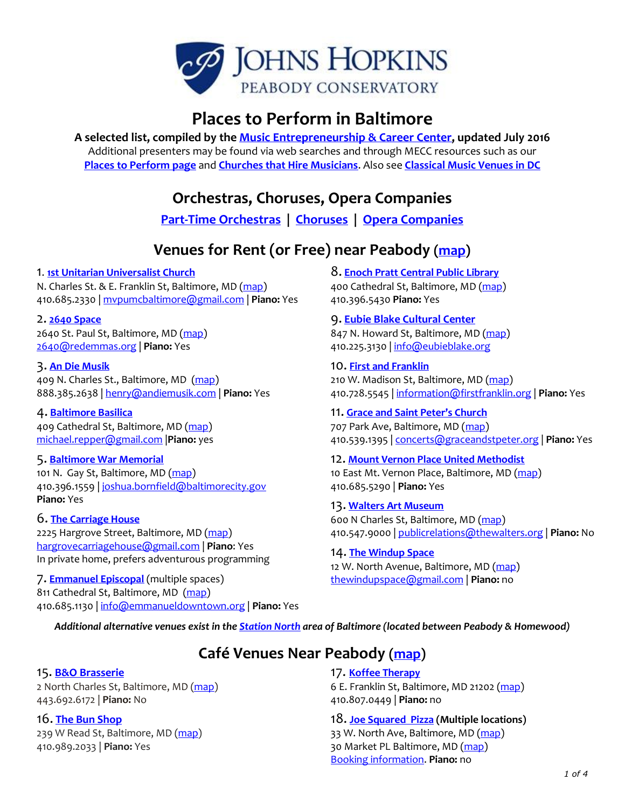

# **Places to Perform in Baltimore**

**A selected list, compiled by th[e Music Entrepreneurship & Career Center,](http://www.peabody.jhu.edu/conservatory/mecc) updated July 2016** Additional presenters may be found via web searches and through MECC resources such as our **[Places to Perform page](http://www.peabody.jhu.edu/conservatory/mecc/jvb/performances/placestoperform.html)** and **[Churches that Hire Musicians](http://www.peabody.jhu.edu/conservatory/mecc/jvb/MD-DC_churches_that_hire_musicians.pdf)**. Also see **[Classical Music Venues in DC](https://www.washingtonpost.com/lifestyle/style/classical-music-venues-around-washington-dc/2012/09/06/300b9932-f363-11e1-b74c-84ed55e0300b_story.html)**

**Orchestras, Choruses, Opera Companies**

**[Part-Time Orchestras](http://www.peabody.jhu.edu/conservatory/mecc/part-time-orchestras-baltimore-dc.pdf) | [Choruses](http://www.peabody.jhu.edu/conservatory/mecc/choruses-MD-DC-region.pdf) | [Opera Companies](http://www.peabody.jhu.edu/conservatory/mecc/baltimore_washington_opera_companies.pdf)**

# **Venues for Rent (or Free) near Peabody [\(map\)](https://www.google.com/maps/d/edit?mid=zSsATftEpcv8.kIcyD7tafNDA&usp=sharing)**

## 1. **[1st Unitarian Universalist Church](http://www.firstunitarian.net/)**

N. Charles St. & E. Franklin St, Baltimore, MD [\(map\)](https://goo.gl/maps/xaFDUvbjpes) 410.685.2330 | [mvpumcbaltimore@gmail.com](mailto:mvpumcbaltimore@gmail.com) | **Piano:** Yes

2. **[2640 Space](https://redemmas.org/2640)** 2640 St. Paul St, Baltimore, MD [\(map\)](https://goo.gl/maps/vmrwQKHZykG2) [2640@redemmas.org](mailto:2640@redemmas.org) | **Piano:** Yes

## 3. **[An Die Musik](http://www.andiemusiklive.com/)**

409 N. Charles St., Baltimore, MD [\(map\)](https://goo.gl/maps/w2Gw8BDuSrJ2) 888.385.2638 [| henry@andiemusik.com](mailto:henry@andiemusik.com) | **Piano:** Yes

## 4. **[Baltimore Basilica](http://americasfirstcathedral.org/)**

409 Cathedral St, Baltimore, MD [\(map\)](https://goo.gl/maps/k8VgpE3tSuP2) [michael.repper@gmail.com](mailto:michael.repper@gmail.com) |**Piano:** yes

## 5. **[Baltimore War Memorial](http://www.wmaibaltimore.org/)**

101 N. Gay St, Baltimore, MD [\(map\)](https://goo.gl/maps/dncjd8wMAKs) 410.396.1559 | [joshua.bornfield@baltimorecity.gov](mailto:joshua.bornfield@baltimorecity.gov)  **Piano:** Yes

## 6. **[The Carriage House](http://carriagehousebaltimore.com/)**

2225 Hargrove Street, Baltimore, MD [\(map\)](https://goo.gl/maps/DD3H1MA1Bs92) [hargrovecarriagehouse@gmail.com](mailto:hargrovecarriagehouse@gmail.com) | **Piano**: Yes In private home, prefers adventurous programming

7. **[Emmanuel Episcopal](http://www.emmanueldowntown.org/)** (multiple spaces) 811 Cathedral St, Baltimore, MD [\(map\)](https://goo.gl/maps/4WAR9owndqr) 410.685.1130 [| info@emmanueldowntown.org](mailto:info@emmanueldowntown.org) | **Piano:** Yes 8. **[Enoch Pratt Central Public Library](http://www.prattlibrary.org/locations/central/)**

400 Cathedral St, Baltimore, MD [\(map\)](https://goo.gl/maps/BFovr8AsYjk) 410.396.5430 **Piano:** Yes

## 9. **[Eubie Blake Cultural Center](http://www.eubieblake.org/)**

847 N. Howard St, Baltimore, MD [\(map\)](https://goo.gl/maps/MEBjseYJzpF2) 410.225.3130 | [info@eubieblake.org](mailto:info@eubieblake.org)

10. **[First and Franklin](http://www.firstfranklin.org/index.php/community/music/)** 210 W. Madison St, Baltimore, MD [\(map\)](https://goo.gl/maps/57dvPYRZsSu) 410.728.5545 [| information@firstfranklin.org](mailto:information@firstfranklin.org) | **Piano:** Yes

## 11. **[Grace and Saint Peter](http://graceandstpeter.org/)'s Church**

707 Park Ave, Baltimore, MD [\(map\)](https://goo.gl/maps/ZY7sWnwJqnt) 410.539.1395 | [concerts@graceandstpeter.org](mailto:concerts@graceandstpeter.org) | **Piano:** Yes

## 12. **[Mount Vernon Place United Methodist](http://www.mvp-umc.org/)** 10 East Mt. Vernon Place, Baltimore, MD [\(map\)](https://goo.gl/maps/PhSiYfFBd632) 410.685.5290 | **Piano:** Yes

## 13. **[Walters Art Museum](http://thewalters.org/)**

600 N Charles St, Baltimore, MD [\(map\)](https://goo.gl/maps/J9g2V9t9xNn) 410.547.9000 [| publicrelations@thewalters.org](mailto:publicrelations@thewalters.org) | **Piano:** No

## 14. **[The Windup Space](http://www.thewindupspace.com/)**

12 W. North Avenue, Baltimore, MD [\(map\)](https://goo.gl/maps/yFmeo3DkfhP2) [thewindupspace@gmail.com](mailto:thewindupspace@gmail.com) | **Piano:** no

*Additional alternative venues exist in th[e Station North](http://www.stationnorth.org/places/) area of Baltimore (located between Peabody & Homewood)* 

# **Café Venues Near Peabody [\(map\)](https://www.google.com/maps/d/edit?mid=zSsATftEpcv8.kIcyD7tafNDA&usp=sharing)**

## 15. **B&O [Brasserie](http://www.bandorestaurant.com/events)**

2 North Charles St, Baltimore, MD [\(map\)](https://goo.gl/maps/gaK5H9ZmMm52) 443.692.6172 | **Piano:** No

## 16. **[The Bun Shop](https://www.facebook.com/TheBunShop/)**

239 W Read St, Baltimore, MD [\(map\)](https://goo.gl/maps/vW5MtEq6TA32) 410.989.2033 | **Piano:** Yes

17. **[Koffee Therapy](http://www.koffeetherapy.com/)**

6 E. Franklin St, Baltimore, MD 21202 [\(map\)](https://goo.gl/maps/PeX8qJ3zv932) 410.807.0449 | **Piano:** no

18. **[Joe Squared Pizza](http://joesquared.com/) (Multiple locations)**

33 W. North Ave, Baltimore, MD [\(map\)](https://goo.gl/maps/wVYhjcusBVT2) 30 Market PL Baltimore, MD [\(map\)](https://goo.gl/maps/1XGztx2KVY52) [Booking information.](http://joesquared.com/music/booking-information/) **Piano:** no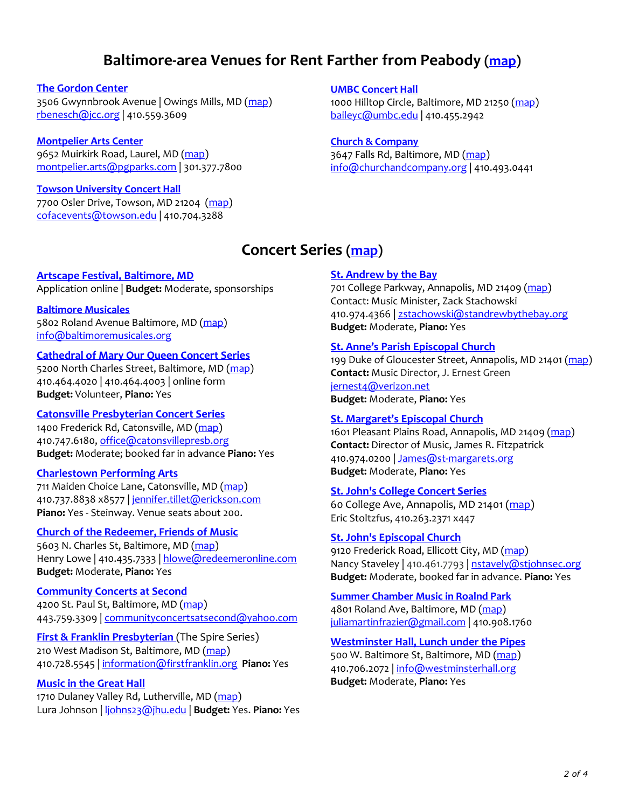## **Baltimore-area Venues for Rent Farther from Peabody [\(map\)](https://www.google.com/maps/d/edit?mid=zSsATftEpcv8.ki07fV5D9F-4&usp=sharing)**

#### **[The Gordon Center](http://www.jcc.org/gordon-center/gordon-center/)**

3506 Gwynnbrook Avenue | Owings Mills, MD [\(map\)](https://goo.gl/maps/7E2nAEFmdRA2) [rbenesch@jcc.org](mailto:rbenesch@jcc.org) | 410.559.3609

## **[Montpelier Arts Center](http://arts.pgparks.com/Our_Facilities/Montpelier_Arts_Center/)**

9652 Muirkirk Road, Laurel, MD [\(map\)](https://goo.gl/maps/RaFMBYrhBWv) [montpelier.arts@pgparks.com](mailto:montpelier.arts@pgparks.com) | 301.377.7800

#### **[Towson University Concert Hall](http://www.towson.edu/music/facilities/index.asp)**

7700 Osler Drive, Towson, MD 21204 [\(map\)](https://goo.gl/maps/VuEbe3GSYmm) [cofacevents@towson.edu](mailto:cofacevents@towson.edu) | 410.704.3288

**[UMBC Concert Hall](http://artscalendar.umbc.edu/about/umbc-concert-hall/)**

1000 Hilltop Circle, Baltimore, MD 21250 [\(map\)](https://goo.gl/maps/ThzMGkEgkQ22) [baileyc@umbc.edu](mailto:baileyc@umbc.edu) | 410.455.2942

## **[Church & Company](http://www.churchandco.org/)**

3647 Falls Rd, Baltimore, MD [\(map\)](https://goo.gl/maps/G74wZwgA7eE2/) [info@churchandcompany.org](mailto:INFO@CHURCHANDCOMPANY.ORG) | 410.493.0441

## **Concert Series [\(map\)](https://www.google.com/maps/d/edit?mid=zSsATftEpcv8.kf32mnz7AzV8&usp=sharing)**

## **[Artscape Festival,](http://www.artscape.org/) Baltimore, MD**

Application online | **Budget:** Moderate, sponsorships

## **[Baltimore Musicales](http://www.baltimoremusicales.org/)**

5802 Roland Avenue Baltimore, MD [\(map\)](https://goo.gl/maps/J7Cnkhf6woq) [info@baltimoremusicales.org](mailto:info@baltimoremusicales.org)

## **[Cathedral of Mary Our Queen Concert Series](http://www.cathedralofmary.org/)**

5200 North Charles Street, Baltimore, MD [\(map\)](https://goo.gl/maps/XZ6qVqvMXBU2) 410.464.4020 | 410.464.4003 | online form **Budget:** Volunteer, **Piano:** Yes

## **[Catonsville Presbyterian Concert Series](http://www.catonsvilleconcerts.org/)**

1400 Frederick Rd, Catonsville, MD [\(map\)](https://goo.gl/maps/VvDSpULUy6k) 410.747.6180, office@catonsvillepresb.org **Budget:** Moderate; booked far in advance **Piano:** Yes

## **[Charlestown Performing Arts](http://www.charlestownperformingarts.com/)**

711 Maiden Choice Lane, Catonsville, MD [\(map\)](https://goo.gl/maps/qmDierVoa5T2) 410.737.8838 x8577 [| jennifer.tillet@erickson.com](mailto:jennifer.tillet@erickson.com) **Piano:** Yes - Steinway. Venue seats about 200.

## **[Church of the Redeemer, Friends of Music](http://www.redeemeronline.com/friends-of-music.html)**

5603 N. Charles St, Baltimore, MD [\(map\)](https://goo.gl/maps/1b8j94RrZ8q) Henry Lowe | 410.435.7333 | hlowe@redeemeronline.com **Budget:** Moderate, **Piano:** Yes

## **[Community Concerts at Second](http://www.communityconcertsatsecond.org/)**

4200 St. Paul St, Baltimore, MD [\(map\)](https://goo.gl/maps/dkGEdMNSEYk) 443.759.3309 [| communityconcertsatsecond@yahoo.com](mailto:communityconcertsatsecond@yahoo.com)

**First & Franklin Presbyterian** (The Spire Series) 210 West Madison St, Baltimore, MD [\(map\)](https://goo.gl/maps/f8aukYqGxBC2) 410.728.5545 [| information@firstfranklin.org](mailto:information@firstfranklin.org) **Piano:** Yes

## **[Music in the Great Hall](http://www.migh.org/)**

1710 Dulaney Valley Rd, Lutherville, MD [\(map\)](https://goo.gl/maps/jxvwYbaaioD2) Lura Johnson [| ljohns23@jhu.edu](mailto:ljohns23@jhu.edu) | **Budget:** Yes. **Piano:** Yes

## **[St. Andrew](http://www.standrewbythebay.org/music-ministries) by the Bay**

701 College Parkway, Annapolis, MD 21409 [\(map\)](https://goo.gl/maps/W7DF9Qd2CwD2) Contact: Music Minister, Zack Stachowski 410.974.4366 | [zstachowski@standrewbythebay.org](mailto:zstachowski@standrewbythebay.org) **Budget:** Moderate, **Piano:** Yes

## **[St. Anne's Parish Episcopal Church](http://www.stannes-annapolis.org/)**

199 Duke of Gloucester Street, Annapolis, MD 21401 [\(map\)](https://goo.gl/maps/dCLLWLJFNq12) **Contact:** Music Director, J. Ernest Green [jernest4@verizon.net](mailto:jernest4@verizon.net) **Budget:** Moderate, **Piano:** Yes

## **[St. Margaret's Episcopal Church](http://www.st-margarets.org/)**

1601 Pleasant Plains Road, Annapolis, MD 21409 [\(map\)](https://goo.gl/maps/9zqB29JMrQU2) **Contact:** Director of Music, James R. Fitzpatrick 410.974.0200 | [James@st-margarets.org](mailto:James@st-margarets.org) **Budget:** Moderate, **Piano:** Yes

## **St. [John's College Concert Series](http://www.sjc.edu/programs-and-events/annapolis/concerts/)**

60 College Ave, Annapolis, MD 21401 [\(map\)](https://goo.gl/maps/9wtzorNi7Ew) Eric Stoltzfus, 410.263.2371 x447

## **St. [John's Episcopal Church](http://www.stjohnsec.org/)**

9120 Frederick Road, Ellicott City, MD [\(map\)](https://goo.gl/maps/Mn272pAh3NF2) Nancy Staveley | 410.461.7793 | [nstavely@stjohnsec.org](mailto:nstavely@stjohnsec.org) **Budget:** Moderate, booked far in advance. **Piano:** Yes

## **[Summer Chamber Music in Roalnd Park](http://www.rpchambermusic.com/)**

4801 Roland Ave, Baltimore, MD [\(map\)](https://goo.gl/maps/g9677i7VcRr) [juliamartinfrazier@gmail.com](mailto:juliamartinfrazier@gmail.com) | 410.908.1760

## **[Westminster Hall, Lunch under the Pipes](http://www.westminsterhall.org/)**

500 W. Baltimore St, Baltimore, MD [\(map\)](https://goo.gl/maps/yGyN9njyGss) 410.706.2072 | info@westminsterhall.org **Budget:** Moderate, **Piano:** Yes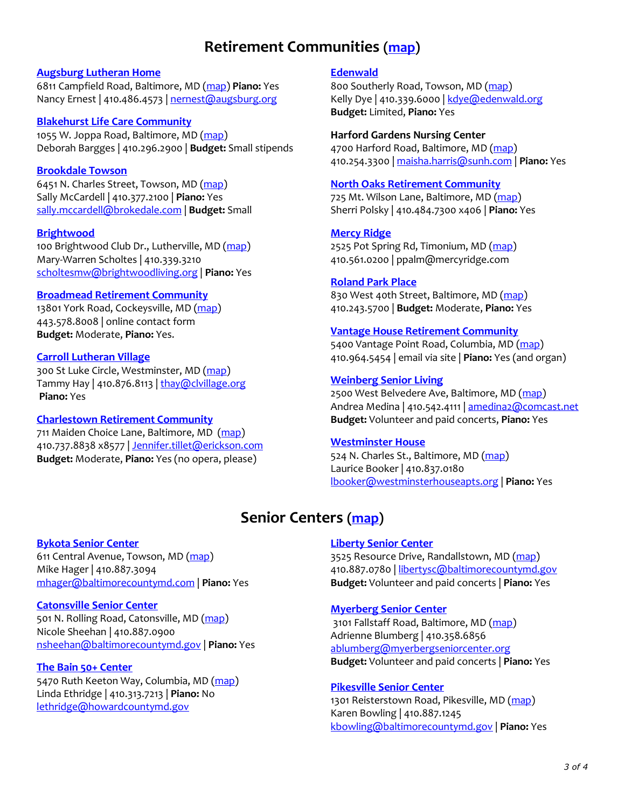## **Retirement Communities [\(map\)](https://www.google.com/maps/d/edit?mid=zSsATftEpcv8.kpBnDdHAQuw8&usp=sharing)**

#### **[Augsburg Lutheran Home](http://www.augsburg.org/)**

6811 Campfield Road, Baltimore, MD [\(map\)](https://goo.gl/maps/oLxm67W39WG2) **Piano:** Yes Nancy Ernest | 410.486.4573 | [nernest@augsburg.org](mailto:nernest@augsburg.org)

#### **[Blakehurst Life Care Community](http://www.blakehurstlcs.com/)**

1055 W. Joppa Road, Baltimore, MD [\(map\)](https://goo.gl/maps/CpEXs7f3fCp) Deborah Bargges | 410.296.2900 | **Budget:** Small stipends

## **[Brookdale Towson](https://www.brookdale.com/communities/emeritus-towson/?_vsrefdom=brand20150609-communities&gclid=Cj0KEQiAyvqyBRChq_iG38PgvLgBEiQAJbasd9QNOV70TD0022tdFoHy-NLr5nqfN5ZRmZqWlJ8u5yIaAg0W8P8HAQ&gclsrc=aw.ds)**

6451 N. Charles Street, Towson, MD [\(map\)](https://goo.gl/maps/nG6UGxhrbn52) Sally McCardell | 410.377.2100 | **Piano:** Yes [sally.mccardell@brokedale.com](mailto:sally.mccardell@brokedale.com) | **Budget:** Small

#### **[Brightwood](http://www.brightwoodliving.org/)**

100 Brightwood Club Dr., Lutherville, MD [\(map\)](https://goo.gl/maps/XgmhXxhcGS42) Mary-Warren Scholtes | 410.339.3210 [scholtesmw@brightwoodliving.org](mailto:scholtesmw@brightwoodliving.org) | **Piano:** Yes

#### **[Broadmead Retirement Community](http://www.broadmead.org/)**

13801 York Road, Cockeysville, MD [\(map\)](https://goo.gl/maps/T3WGsTxyGmL2) 443.578.8008 | online contact form **Budget:** Moderate, **Piano:** Yes.

#### **[Carroll Lutheran Village](http://www.clvillage.org/)**

300 St Luke Circle, Westminster, MD [\(map\)](https://goo.gl/maps/FfqzQPuHtjp) Tammy Hay | 410.876.8113 | thay@clvillage.org **Piano:** Yes

## **[Charlestown Retirement Community](http://www.charlestownperformingarts.com/)**

711 Maiden Choice Lane, Baltimore, MD [\(map\)](https://goo.gl/maps/PgmVV8jn2nz) 410.737.8838 x8577 [| Jennifer.tillet@erickson.com](mailto:Jennifer.tillet@erickson.com) **Budget:** Moderate, **Piano:** Yes (no opera, please)

## **[Edenwald](http://www.edenwald.org/)**

800 Southerly Road, Towson, MD [\(map\)](https://goo.gl/maps/6sgdMYHr8u32) Kelly Dye | 410.339.6000 | [kdye@edenwald.org](mailto:kdye@edenwald.org) **Budget:** Limited, **Piano:** Yes

## **Harford Gardens Nursing Center**

4700 Harford Road, Baltimore, MD [\(map\)](https://goo.gl/maps/eB2xKowHFr12) 410.254.3300 | [maisha.harris@sunh.com](mailto:maisha.harris@sunh.com) | **Piano:** Yes

#### **[North Oaks Retirement Community](http://www.northoakslcs.com/)**

725 Mt. Wilson Lane, Baltimore, MD [\(map\)](https://goo.gl/maps/7gjfN6NMTbt) Sherri Polsky | 410.484.7300 x406 | **Piano:** Yes

## **[Mercy Ridge](http://www.mercyridge.com/)**

2525 Pot Spring Rd, Timonium, MD [\(map\)](https://goo.gl/maps/HSVubzw8BQt) 410.561.0200 | ppalm@mercyridge.com

#### **[Roland Park Place](http://www.rolandparkplace.org/)**

830 West 40th Street, Baltimore, MD [\(map\)](https://goo.gl/maps/pPcKM2ZTWM92) 410.243.5700 | **Budget:** Moderate, **Piano:** Yes

## **[Vantage House Retirement Community](http://www.vantagehouse.org/)**

5400 Vantage Point Road, Columbia, MD [\(map\)](https://goo.gl/maps/qJknr6sfoYT2) 410.964.5454 | email via site | **Piano:** Yes (and organ)

#### **[Weinberg Senior Living](http://www.weinbergseniorliving.com/)**

2500 West Belvedere Ave, Baltimore, MD [\(map\)](https://goo.gl/maps/yM4pUNi8fsT2) Andrea Medina | 410.542.4111 | [amedina2@comcast.net](mailto:amedina2@comcast.net) **Budget:** Volunteer and paid concerts, **Piano:** Yes

## **[Westminster House](http://www.westminsterhouseapts.org/)**

524 N. Charles St., Baltimore, MD [\(map\)](https://goo.gl/maps/KjDCsHj1e7k) Laurice Booker | 410.837.0180 [lbooker@westminsterhouseapts.org](mailto:lbooker@westminsterhouseapts.org) | **Piano:** Yes

## **Senior Centers [\(map\)](https://www.google.com/maps/d/edit?mid=zSsATftEpcv8.kpBnDdHAQuw8&usp=sharing)**

#### **[Bykota Senior Center](http://www.baltimorecountymd.gov/Agencies/aging/centers/bykota.html)**

611 Central Avenue, Towson, MD [\(map\)](https://goo.gl/maps/Vk6CzQnBrJw) Mike Hager | 410.887.3094 [mhager@baltimorecountymd.com](mailto:mhager@baltimorecountymd.com) | **Piano:** Yes

#### **[Catonsville Senior Center](http://www.baltimorecountymd.gov/agencies/aging/centers/catonsville.html)**

501 N. Rolling Road, Catonsville, MD [\(map\)](https://goo.gl/maps/FYsaGagSL282) Nicole Sheehan | 410.887.0900 [nsheehan@baltimorecountymd.gov](mailto:nsheehan@baltimorecountymd.gov) | **Piano:** Yes

#### **[The Bain 50+ Center](https://www.howardcountymd.gov/Departments/Community-Resources-and-Services/Office-on-Aging-and-Independence/50-Centers/Bain-Center)**

5470 Ruth Keeton Way, Columbia, MD [\(map\)](https://goo.gl/maps/x4PT1XAHAgn) Linda Ethridge | 410.313.7213 | **Piano:** No [lethridge@howardcountymd.gov](mailto:lethridge@howardcountymd.gov)

#### **[Liberty Senior Center](http://www.baltimorecountymd.gov/Agencies/aging/centers/liberty.html)**

3525 Resource Drive, Randallstown, MD [\(map\)](https://goo.gl/maps/Ew4AC6BXqmH2) 410.887.0780 [| libertysc@baltimorecountymd.gov](mailto:libertysc@baltimorecountymd.gov?subject=Liberty%20Senior%20Center%20Internet%20Inquiry) **Budget:** Volunteer and paid concerts | **Piano:** Yes

#### **[Myerberg Senior Center](http://myerberg.org/)**

3101 Fallstaff Road, Baltimore, MD [\(map\)](https://goo.gl/maps/oYXCJej9rXU2/) Adrienne Blumberg | 410.358.6856 [ablumberg@myerbergseniorcenter.org](mailto:ablumberg@myerbergseniorcenter.org) **Budget:** Volunteer and paid concerts | **Piano:** Yes

#### **[Pikesville Senior Center](http://www.baltimorecountymd.gov/agencies/aging/centers/pikesville.html)**

1301 Reisterstown Road, Pikesville, MD [\(map\)](https://goo.gl/maps/B21dMRaWGmp) Karen Bowling | 410.887.1245 [kbowling@baltimorecountymd.gov](mailto:kbowling@baltimorecountymd.gov) | **Piano:** Yes